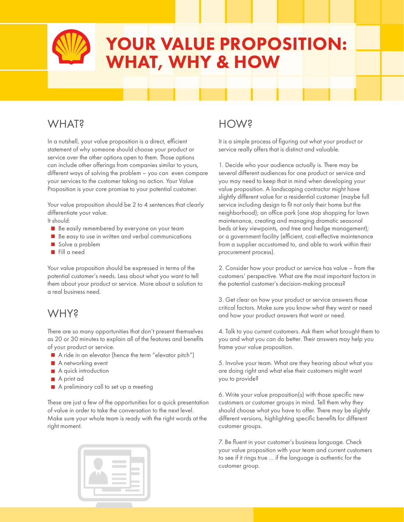# YOUR VALUE PROPOSITION: WHAT, WHY & HOW

## WHAT?

In a nutshell, your value proposition is a direct, efficient statement of why someone should choose your product or service over the other options open to them. Those options can include other offerings from companies similar to yours, different ways of solving the problem – you can even compare your services to the customer taking no action. Your Value Proposition is your core promise to your potential customer.

Your value proposition should be 2 to 4 sentences that clearly differentiate your value.

It should:

- Be easily remembered by everyone on your team
- Be easy to use in written and verbal communications
- Solve a problem
- Fill a need

Your value proposition should be expressed in terms of the potential customer's needs. Less about what you want to tell them about your product or service. More about a solution to a real business need.

### WHY?

There are so many opportunities that don't present themselves as 20 or 30 minutes to explain all of the features and benefits of your product or service.

- A ride in an elevator (hence the term "elevator pitch")
- **A** networking event
- A quick introduction
- A print ad
- A preliminary call to set up a meeting

These are just a few of the opportunities for a quick presentation of value in order to take the conversation to the next level. Make sure your whole team is ready with the right words at the right moment.



## HOW?

It is a simple process of figuring out what your product or service really offers that is distinct and valuable.

1. Decide who your audience actually is. There may be several different audiences for one product or service and you may need to keep that in mind when developing your value proposition. A landscaping contractor might have slightly different value for a residential customer (maybe full service including design to fit not only their home but the neighborhood); an office park (one stop shopping for lawn maintenance, creating and managing dramatic seasonal beds at key viewpoints, and tree and hedge management); or a government facility (efficient, cost-effective maintenance from a supplier accustomed to, and able to work within their procurement process).

2. Consider how your product or service has value – from the customers' perspective. What are the most important factors in the potential customer's decision-making process?

3. Get clear on how your product or service answers those critical factors. Make sure you know what they want or need and how your product answers that want or need.

4. Talk to you current customers. Ask them what brought them to you and what you can do better. Their answers may help you frame your value proposition.

5. Involve your team. What are they hearing about what you are doing right and what else their customers might want you to provide?

6. Write your value proposition(s) with those specific new customers or customer groups in mind. Tell them why they should choose what you have to offer. There may be slightly different versions, highlighting specific benefits for different customer groups.

7. Be fluent in your customer's business language. Check your value proposition with your team and current customers to see if it rings true … if the language is authentic for the customer group.